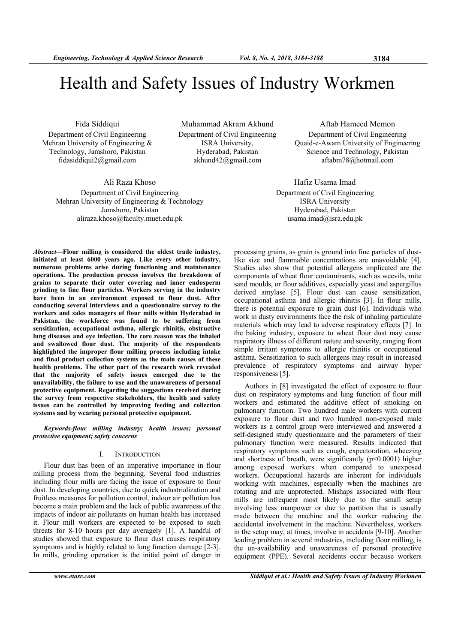Fida Siddiqui Department of Civil Engineering Mehran University of Engineering & Technology, Jamshoro, Pakistan fidasiddiqui2@gmail.com

> Ali Raza Khoso Department of Civil Engineering Mehran University of Engineering & Technology Jamshoro, Pakistan aliraza.khoso@faculty.muet.edu.pk

Muhammad Akram Akhund Department of Civil Engineering ISRA University, Hyderabad, Pakistan akhund42@gmail.com

Aftab Hameed Memon Department of Civil Engineering Quaid-e-Awam University of Engineering Science and Technology, Pakistan aftabm78@hotmail.com

Hafiz Usama Imad Department of Civil Engineering ISRA University Hyderabad, Pakistan usama.imad@isra.edu.pk

*Abstract***—Flour milling is considered the oldest trade industry, initiated at least 6000 years ago. Like every other industry, numerous problems arise during functioning and maintenance operations. The production process involves the breakdown of grains to separate their outer covering and inner endosperm grinding to fine flour particles. Workers serving in the industry have been in an environment exposed to flour dust. After conducting several interviews and a questionnaire survey to the workers and sales managers of flour mills within Hyderabad in Pakistan, the workforce was found to be suffering from sensitization, occupational asthma, allergic rhinitis, obstructive lung diseases and eye infection. The core reason was the inhaled and swallowed flour dust. The majority of the respondents highlighted the improper flour milling process including intake and final product collection systems as the main causes of these health problems. The other part of the research work revealed that the majority of safety issues emerged due to the unavailability, the failure to use and the unawareness of personal protective equipment. Regarding the suggestions received during the survey from respective stakeholders, the health and safety issues can be controlled by improving feeding and collection systems and by wearing personal protective equipment.** 

*Keywords-flour milling industry; health issues; personal protective equipment; safety concerns* 

# I. INTRODUCTION

Flour dust has been of an imperative importance in flour milling process from the beginning. Several food industries including flour mills are facing the issue of exposure to flour dust. In developing countries, due to quick industrialization and fruitless measures for pollution control, indoor air pollution has become a main problem and the lack of public awareness of the impacts of indoor air pollutants on human health has increased it. Flour mill workers are expected to be exposed to such threats for 8-10 hours per day averagely [1]. A handful of studies showed that exposure to flour dust causes respiratory symptoms and is highly related to lung function damage [2-3]. In mills, grinding operation is the initial point of danger in

processing grains, as grain is ground into fine particles of dustlike size and flammable concentrations are unavoidable [4]. Studies also show that potential allergens implicated are the components of wheat flour contaminants, such as weevils, mite sand moulds, or flour additives, especially yeast and aspergillus derived amylase [5]. Flour dust can cause sensitization, occupational asthma and allergic rhinitis [3]. In flour mills, there is potential exposure to grain dust [6]. Individuals who work in dusty environments face the risk of inhaling particulate materials which may lead to adverse respiratory effects [7]. In the baking industry, exposure to wheat flour dust may cause respiratory illness of different nature and severity, ranging from simple irritant symptoms to allergic rhinitis or occupational asthma. Sensitization to such allergens may result in increased prevalence of respiratory symptoms and airway hyper responsiveness [5].

Authors in [8] investigated the effect of exposure to flour dust on respiratory symptoms and lung function of flour mill workers and estimated the additive effect of smoking on pulmonary function. Two hundred male workers with current exposure to flour dust and two hundred non-exposed male workers as a control group were interviewed and answered a self-designed study questionnaire and the parameters of their pulmonary function were measured. Results indicated that respiratory symptoms such as cough, expectoration, wheezing and shortness of breath, were significantly  $(p<0.0001)$  higher among exposed workers when compared to unexposed workers. Occupational hazards are inherent for individuals working with machines, especially when the machines are rotating and are unprotected. Mishaps associated with flour mills are infrequent most likely due to the small setup involving less manpower or due to partition that is usually made between the machine and the worker reducing the accidental involvement in the machine. Nevertheless, workers in the setup may, at times, involve in accidents [9-10]. Another leading problem in several industries, including flour milling, is the un-availability and unawareness of personal protective equipment (PPE). Several accidents occur because workers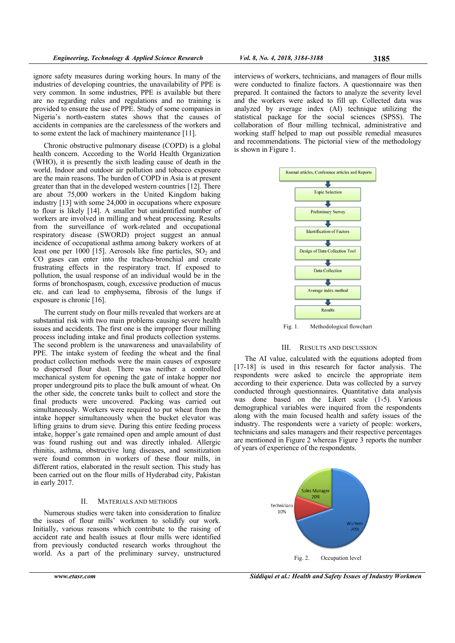ignore safety measures during working hours. In many of the industries of developing countries, the unavailability of PPE is very common. In some industries, PPE is available but there are no regarding rules and regulations and no training is provided to ensure the use of PPE. Study of some companies in Nigeria's north-eastern states shows that the causes of accidents in companies are the carelessness of the workers and to some extent the lack of machinery maintenance [11].

Chronic obstructive pulmonary disease (COPD) is a global health concern. According to the World Health Organization (WHO), it is presently the sixth leading cause of death in the world. Indoor and outdoor air pollution and tobacco exposure are the main reasons. The burden of COPD in Asia is at present greater than that in the developed western countries [12]. There are about 75,000 workers in the United Kingdom baking industry [13] with some 24,000 in occupations where exposure to flour is likely [14]. A smaller but unidentified number of workers are involved in milling and wheat processing. Results from the surveillance of work-related and occupational respiratory disease (SWORD) project suggest an annual incidence of occupational asthma among bakery workers of at least one per  $1000$  [15]. Aerosols like fine particles,  $SO_2$  and CO gases can enter into the trachea-bronchial and create frustrating effects in the respiratory tract. If exposed to pollution, the usual response of an individual would be in the forms of bronchospasm, cough, excessive production of mucus etc. and can lead to emphysema, fibrosis of the lungs if exposure is chronic [16].

The current study on flour mills revealed that workers are at substantial risk with two main problems causing severe health issues and accidents. The first one is the improper flour milling process including intake and final products collection systems. The second problem is the unawareness and unavailability of PPE. The intake system of feeding the wheat and the final product collection methods were the main causes of exposure to dispersed flour dust. There was neither a controlled mechanical system for opening the gate of intake hopper nor proper underground pits to place the bulk amount of wheat. On the other side, the concrete tanks built to collect and store the final products were uncovered. Packing was carried out simultaneously. Workers were required to put wheat from the intake hopper simultaneously when the bucket elevator was lifting grains to drum sieve. During this entire feeding process intake, hopper's gate remained open and ample amount of dust was found rushing out and was directly inhaled. Allergic rhinitis, asthma, obstructive lung diseases, and sensitization were found common in workers of these flour mills, in different ratios, elaborated in the result section. This study has been carried out on the flour mills of Hyderabad city, Pakistan in early 2017.

## II. MATERIALS AND METHODS

Numerous studies were taken into consideration to finalize the issues of flour mills' workmen to solidify our work. Initially, various reasons which contribute to the raising of accident rate and health issues at flour mills were identified from previously conducted research works throughout the world. As a part of the preliminary survey, unstructured

interviews of workers, technicians, and managers of flour mills were conducted to finalize factors. A questionnaire was then prepared. It contained the factors to analyze the severity level and the workers were asked to fill up. Collected data was analyzed by average index (AI) technique utilizing the statistical package for the social sciences (SPSS). The collaboration of flour milling technical, administrative and working staff helped to map out possible remedial measures and recommendations. The pictorial view of the methodology is shown in Figure 1.



Fig. 1. Methodological flowchart

### III. RESULTS AND DISCUSSION

The AI value, calculated with the equations adopted from [17-18] is used in this research for factor analysis. The respondents were asked to encircle the appropriate item according to their experience. Data was collected by a survey conducted through questionnaires. Quantitative data analysis was done based on the Likert scale (1-5). Various demographical variables were inquired from the respondents along with the main focused health and safety issues of the industry. The respondents were a variety of people: workers, technicians and sales managers and their respective percentages are mentioned in Figure 2 whereas Figure 3 reports the number of years of experience of the respondents.



*www.etasr.com Siddiqui et al.: Health and Safety Issues of Industry Workmen*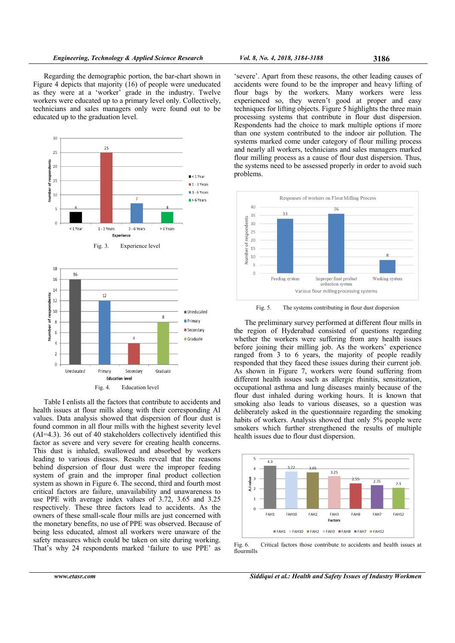Regarding the demographic portion, the bar-chart shown in Figure 4 depicts that majority (16) of people were uneducated as they were at a 'worker' grade in the industry. Twelve workers were educated up to a primary level only. Collectively, technicians and sales managers only were found out to be educated up to the graduation level.



Table I enlists all the factors that contribute to accidents and health issues at flour mills along with their corresponding AI values. Data analysis showed that dispersion of flour dust is found common in all flour mills with the highest severity level (AI=4.3). 36 out of 40 stakeholders collectively identified this factor as severe and very severe for creating health concerns. This dust is inhaled, swallowed and absorbed by workers leading to various diseases. Results reveal that the reasons behind dispersion of flour dust were the improper feeding system of grain and the improper final product collection system as shown in Figure 6. The second, third and fourth most critical factors are failure, unavailability and unawareness to use PPE with average index values of 3.72, 3.65 and 3.25 respectively. These three factors lead to accidents. As the owners of these small-scale flour mills are just concerned with the monetary benefits, no use of PPE was observed. Because of being less educated, almost all workers were unaware of the safety measures which could be taken on site during working. That's why 24 respondents marked 'failure to use PPE' as

'severe'. Apart from these reasons, the other leading causes of accidents were found to be the improper and heavy lifting of flour bags by the workers. Many workers were less experienced so, they weren't good at proper and easy techniques for lifting objects. Figure 5 highlights the three main processing systems that contribute in flour dust dispersion. Respondents had the choice to mark multiple options if more than one system contributed to the indoor air pollution. The systems marked come under category of flour milling process and nearly all workers, technicians and sales managers marked flour milling process as a cause of flour dust dispersion. Thus, the systems need to be assessed properly in order to avoid such problems.



Fig. 5. The systems contributing in flour dust dispersion

The preliminary survey performed at different flour mills in the region of Hyderabad consisted of questions regarding whether the workers were suffering from any health issues before joining their milling job. As the workers' experience ranged from 3 to 6 years, the majority of people readily responded that they faced these issues during their current job. As shown in Figure 7, workers were found suffering from different health issues such as allergic rhinitis, sensitization, occupational asthma and lung diseases mainly because of the flour dust inhaled during working hours. It is known that smoking also leads to various diseases, so a question was deliberately asked in the questionnaire regarding the smoking habits of workers. Analysis showed that only 5% people were smokers which further strengthened the results of multiple health issues due to flour dust dispersion.



Fig. 6. Critical factors those contribute to accidents and health issues at flourmills

*www.etasr.com Siddiqui et al.: Health and Safety Issues of Industry Workmen*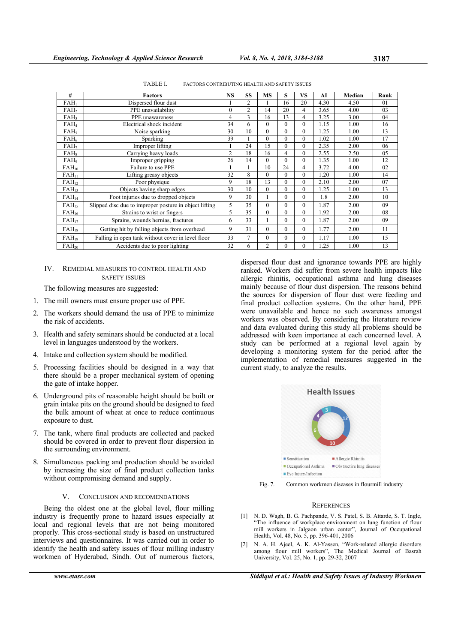| #                | <b>Factors</b>                                         | <b>NS</b>      | <b>SS</b> | MS             | S              | VS             | AI   | Median | Rank |
|------------------|--------------------------------------------------------|----------------|-----------|----------------|----------------|----------------|------|--------|------|
| $FAH_1$          | Dispersed flour dust                                   |                | 2         |                | 16             | 20             | 4.30 | 4.50   | 01   |
| FAH <sub>2</sub> | PPE unavailability                                     | $\theta$       | 2         | 14             | 20             | $\overline{4}$ | 3.65 | 4.00   | 03   |
| $FAH_3$          | PPE unawareness                                        | 4              | 3         | 16             | 13             | 4              | 3.25 | 3.00   | 04   |
| $FAH_4$          | Electrical shock incident                              | 34             | 6         | $\theta$       | $\overline{0}$ | $\theta$       | 1.15 | 1.00   | 16   |
| FAH <sub>5</sub> | Noise sparking                                         | 30             | 10        | $\Omega$       | $\theta$       | $\theta$       | 1.25 | 1.00   | 13   |
| $FAH_6$          | Sparking                                               | 39             |           | $\Omega$       | $\theta$       | $\theta$       | 1.02 | 1.00   | 17   |
| FAH <sub>7</sub> | Improper lifting                                       |                | 24        | 15             | $\Omega$       | $\theta$       | 2.35 | 2.00   | 06   |
| $FAH_8$          | Carrying heavy loads                                   | $\overline{c}$ | 18        | 16             | 4              | $\mathbf{0}$   | 2.55 | 2.50   | 05   |
| FAH <sub>9</sub> | Improper gripping                                      | 26             | 14        | $\theta$       | $\theta$       | $\mathbf{0}$   | 1.35 | 1.00   | 12   |
| $FAH_{10}$       | Failure to use PPE                                     | 1              |           | 10             | 24             | $\overline{4}$ | 3.72 | 4.00   | 02   |
| $FAH_{11}$       | Lifting greasy objects                                 | 32             | 8         | $\theta$       | $\overline{0}$ | $\theta$       | 1.20 | 1.00   | 14   |
| $FAH_{12}$       | Poor physique                                          | 9              | 18        | 13             | $\overline{0}$ | $\theta$       | 2.10 | 2.00   | 07   |
| $FAH_{13}$       | Objects having sharp edges                             | 30             | 10        | $\theta$       | $\theta$       | $\theta$       | 1.25 | 1.00   | 13   |
| $FAH_{14}$       | Foot injuries due to dropped objects                   | 9              | 30        | 1              | $\theta$       | $\theta$       | 1.8  | 2.00   | 10   |
| $FAH_{15}$       | Slipped disc due to improper posture in object lifting | 5              | 35        | $\theta$       | $\theta$       | $\Omega$       | 1.87 | 2.00   | 09   |
| $FAH_{16}$       | Strains to wrist or fingers                            | 5              | 35        | $\mathbf{0}$   | $\overline{0}$ | $\mathbf{0}$   | 1.92 | 2.00   | 08   |
| $FAH_{17}$       | Sprains, wounds hernias, fractures                     | 6              | 33        |                | $\theta$       | $\theta$       | 1.87 | 2.00   | 09   |
| $FAH_{18}$       | Getting hit by falling objects from overhead           | 9              | 31        | $\Omega$       | $\theta$       | $\theta$       | 1.77 | 2.00   | 11   |
| $FAH_{19}$       | Falling in open tank without cover in level floor      | 33             | 7         | $\mathbf{0}$   | $\mathbf{0}$   | $\mathbf{0}$   | 1.17 | 1.00   | 15   |
| $FAH_{20}$       | Accidents due to poor lighting                         | 32             | 6         | $\overline{c}$ | $\overline{0}$ | $\mathbf{0}$   | 1.25 | 1.00   | 13   |

TABLE I. FACTORS CONTRIBUTING HEALTH AND SAFETY ISSUES

### IV. REMEDIAL MEASURES TO CONTROL HEALTH AND SAFETY ISSUES

The following measures are suggested:

- 1. The mill owners must ensure proper use of PPE.
- 2. The workers should demand the usa of PPE to minimize the risk of accidents.
- 3. Health and safety seminars should be conducted at a local level in languages understood by the workers.
- 4. Intake and collection system should be modified.
- 5. Processing facilities should be designed in a way that there should be a proper mechanical system of opening the gate of intake hopper.
- 6. Underground pits of reasonable height should be built or grain intake pits on the ground should be designed to feed the bulk amount of wheat at once to reduce continuous exposure to dust.
- 7. The tank, where final products are collected and packed should be covered in order to prevent flour dispersion in the surrounding environment.
- 8. Simultaneous packing and production should be avoided by increasing the size of final product collection tanks without compromising demand and supply.

#### V. CONCLUSION AND RECOMENDATIONS

Being the oldest one at the global level, flour milling industry is frequently prone to hazard issues especially at local and regional levels that are not being monitored properly. This cross-sectional study is based on unstructured interviews and questionnaires. It was carried out in order to identify the health and safety issues of flour milling industry workmen of Hyderabad, Sindh. Out of numerous factors,

dispersed flour dust and ignorance towards PPE are highly ranked. Workers did suffer from severe health impacts like allergic rhinitis, occupational asthma and lung diseases mainly because of flour dust dispersion. The reasons behind the sources for dispersion of flour dust were feeding and final product collection systems. On the other hand, PPE were unavailable and hence no such awareness amongst workers was observed. By considering the literature review and data evaluated during this study all problems should be addressed with keen importance at each concerned level. A study can be performed at a regional level again by developing a monitoring system for the period after the implementation of remedial measures suggested in the current study, to analyze the results.



Fig. 7. Common workmen diseases in flourmill industry

#### **REFERENCES**

- [1] N. D. Wagh, B. G. Pachpande, V. S. Patel, S. B. Attarde, S. T. Ingle, "The influence of workplace environment on lung function of flour mill workers in Jalgaon urban center", Journal of Occupational Health, Vol. 48, No. 5, pp. 396-401, 2006
- [2] N. A. H. Ajeel, A. K. Al-Yassen, "Work-related allergic disorders among flour mill workers", The Medical Journal of Basrah University, Vol. 25, No. 1, pp. 29-32, 2007

*www.etasr.com Siddiqui et al.: Health and Safety Issues of Industry Workmen*